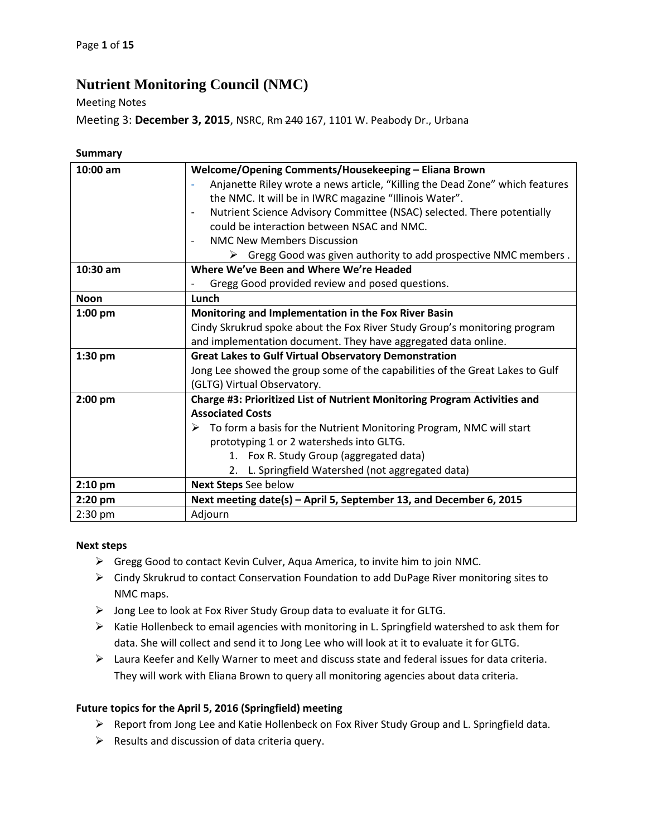## **Nutrient Monitoring Council (NMC)**

Meeting Notes

Meeting 3: **December 3, 2015**, NSRC, Rm 240 167, 1101 W. Peabody Dr., Urbana

| 10:00 am    | Welcome/Opening Comments/Housekeeping - Eliana Brown                                               |
|-------------|----------------------------------------------------------------------------------------------------|
|             | Anjanette Riley wrote a news article, "Killing the Dead Zone" which features                       |
|             | the NMC. It will be in IWRC magazine "Illinois Water".                                             |
|             | Nutrient Science Advisory Committee (NSAC) selected. There potentially<br>$\overline{\phantom{a}}$ |
|             | could be interaction between NSAC and NMC.                                                         |
|             | <b>NMC New Members Discussion</b><br>$\overline{\phantom{a}}$                                      |
|             | $\triangleright$ Gregg Good was given authority to add prospective NMC members.                    |
| $10:30$ am  | Where We've Been and Where We're Headed                                                            |
|             | Gregg Good provided review and posed questions.                                                    |
| <b>Noon</b> | Lunch                                                                                              |
| $1:00$ pm   | Monitoring and Implementation in the Fox River Basin                                               |
|             | Cindy Skrukrud spoke about the Fox River Study Group's monitoring program                          |
|             | and implementation document. They have aggregated data online.                                     |
| $1:30$ pm   | <b>Great Lakes to Gulf Virtual Observatory Demonstration</b>                                       |
|             | Jong Lee showed the group some of the capabilities of the Great Lakes to Gulf                      |
|             | (GLTG) Virtual Observatory.                                                                        |
| $2:00$ pm   | Charge #3: Prioritized List of Nutrient Monitoring Program Activities and                          |
|             | <b>Associated Costs</b>                                                                            |
|             | $\triangleright$ To form a basis for the Nutrient Monitoring Program, NMC will start               |
|             | prototyping 1 or 2 watersheds into GLTG.                                                           |
|             | 1. Fox R. Study Group (aggregated data)                                                            |
|             | 2. L. Springfield Watershed (not aggregated data)                                                  |
| $2:10$ pm   | Next Steps See below                                                                               |
| $2:20$ pm   | Next meeting date(s) - April 5, September 13, and December 6, 2015                                 |
| $2:30$ pm   | Adjourn                                                                                            |

## **Next steps**

- Gregg Good to contact Kevin Culver, Aqua America, to invite him to join NMC.
- Cindy Skrukrud to contact Conservation Foundation to add DuPage River monitoring sites to NMC maps.
- Jong Lee to look at Fox River Study Group data to evaluate it for GLTG.
- $\triangleright$  Katie Hollenbeck to email agencies with monitoring in L. Springfield watershed to ask them for data. She will collect and send it to Jong Lee who will look at it to evaluate it for GLTG.
- $\triangleright$  Laura Keefer and Kelly Warner to meet and discuss state and federal issues for data criteria. They will work with Eliana Brown to query all monitoring agencies about data criteria.

## **Future topics for the April 5, 2016 (Springfield) meeting**

- $\triangleright$  Report from Jong Lee and Katie Hollenbeck on Fox River Study Group and L. Springfield data.
- $\triangleright$  Results and discussion of data criteria query.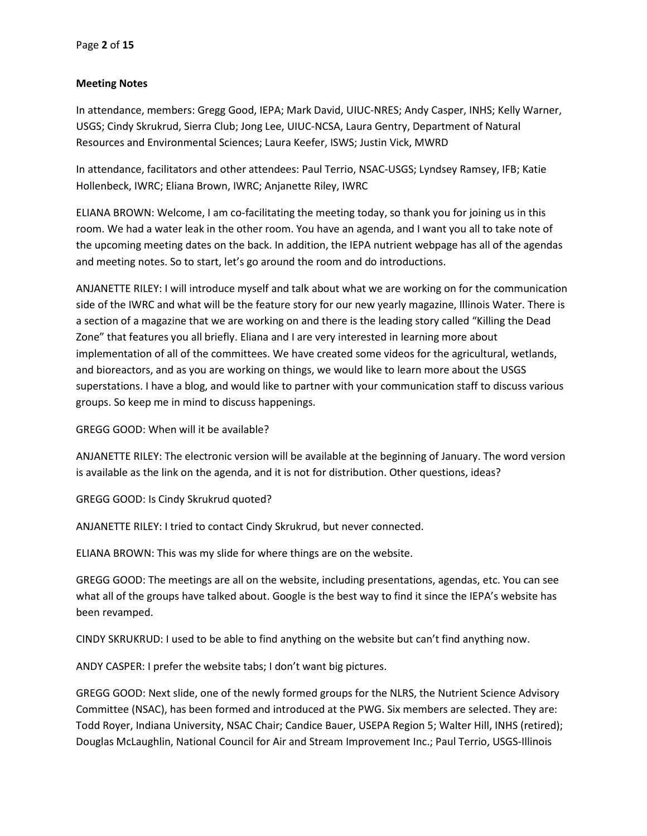## **Meeting Notes**

In attendance, members: Gregg Good, IEPA; Mark David, UIUC-NRES; Andy Casper, INHS; Kelly Warner, USGS; Cindy Skrukrud, Sierra Club; Jong Lee, UIUC-NCSA, Laura Gentry, Department of Natural Resources and Environmental Sciences; Laura Keefer, ISWS; Justin Vick, MWRD

In attendance, facilitators and other attendees: Paul Terrio, NSAC-USGS; Lyndsey Ramsey, IFB; Katie Hollenbeck, IWRC; Eliana Brown, IWRC; Anjanette Riley, IWRC

ELIANA BROWN: Welcome, I am co-facilitating the meeting today, so thank you for joining us in this room. We had a water leak in the other room. You have an agenda, and I want you all to take note of the upcoming meeting dates on the back. In addition, the IEPA nutrient webpage has all of the agendas and meeting notes. So to start, let's go around the room and do introductions.

ANJANETTE RILEY: I will introduce myself and talk about what we are working on for the communication side of the IWRC and what will be the feature story for our new yearly magazine, Illinois Water. There is a section of a magazine that we are working on and there is the leading story called "Killing the Dead Zone" that features you all briefly. Eliana and I are very interested in learning more about implementation of all of the committees. We have created some videos for the agricultural, wetlands, and bioreactors, and as you are working on things, we would like to learn more about the USGS superstations. I have a blog, and would like to partner with your communication staff to discuss various groups. So keep me in mind to discuss happenings.

GREGG GOOD: When will it be available?

ANJANETTE RILEY: The electronic version will be available at the beginning of January. The word version is available as the link on the agenda, and it is not for distribution. Other questions, ideas?

GREGG GOOD: Is Cindy Skrukrud quoted?

ANJANETTE RILEY: I tried to contact Cindy Skrukrud, but never connected.

ELIANA BROWN: This was my slide for where things are on the website.

GREGG GOOD: The meetings are all on the website, including presentations, agendas, etc. You can see what all of the groups have talked about. Google is the best way to find it since the IEPA's website has been revamped.

CINDY SKRUKRUD: I used to be able to find anything on the website but can't find anything now.

ANDY CASPER: I prefer the website tabs; I don't want big pictures.

GREGG GOOD: Next slide, one of the newly formed groups for the NLRS, the Nutrient Science Advisory Committee (NSAC), has been formed and introduced at the PWG. Six members are selected. They are: Todd Royer, Indiana University, NSAC Chair; Candice Bauer, USEPA Region 5; Walter Hill, INHS (retired); Douglas McLaughlin, National Council for Air and Stream Improvement Inc.; Paul Terrio, USGS-Illinois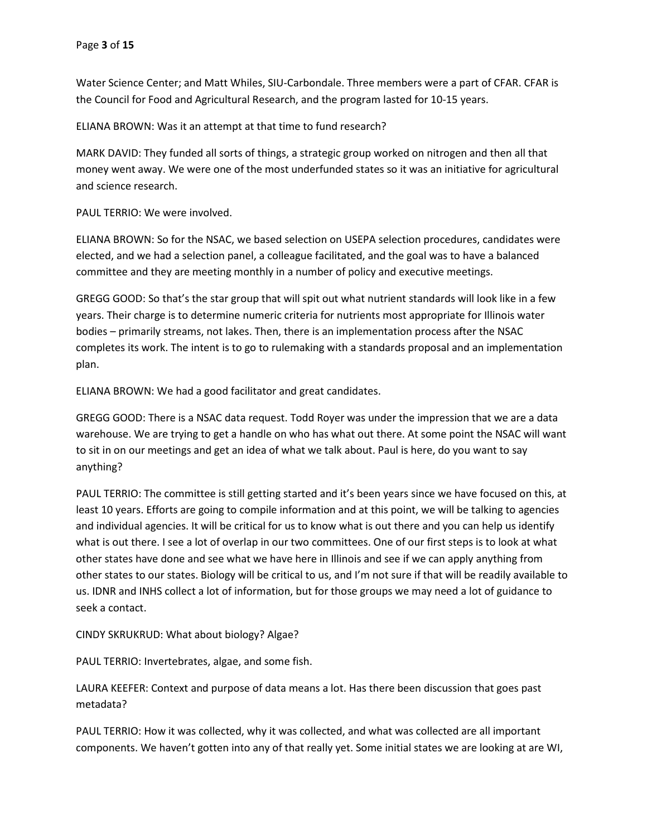Water Science Center; and Matt Whiles, SIU-Carbondale. Three members were a part of CFAR. CFAR is the Council for Food and Agricultural Research, and the program lasted for 10-15 years.

ELIANA BROWN: Was it an attempt at that time to fund research?

MARK DAVID: They funded all sorts of things, a strategic group worked on nitrogen and then all that money went away. We were one of the most underfunded states so it was an initiative for agricultural and science research.

PAUL TERRIO: We were involved.

ELIANA BROWN: So for the NSAC, we based selection on USEPA selection procedures, candidates were elected, and we had a selection panel, a colleague facilitated, and the goal was to have a balanced committee and they are meeting monthly in a number of policy and executive meetings.

GREGG GOOD: So that's the star group that will spit out what nutrient standards will look like in a few years. Their charge is to determine numeric criteria for nutrients most appropriate for Illinois water bodies – primarily streams, not lakes. Then, there is an implementation process after the NSAC completes its work. The intent is to go to rulemaking with a standards proposal and an implementation plan.

ELIANA BROWN: We had a good facilitator and great candidates.

GREGG GOOD: There is a NSAC data request. Todd Royer was under the impression that we are a data warehouse. We are trying to get a handle on who has what out there. At some point the NSAC will want to sit in on our meetings and get an idea of what we talk about. Paul is here, do you want to say anything?

PAUL TERRIO: The committee is still getting started and it's been years since we have focused on this, at least 10 years. Efforts are going to compile information and at this point, we will be talking to agencies and individual agencies. It will be critical for us to know what is out there and you can help us identify what is out there. I see a lot of overlap in our two committees. One of our first steps is to look at what other states have done and see what we have here in Illinois and see if we can apply anything from other states to our states. Biology will be critical to us, and I'm not sure if that will be readily available to us. IDNR and INHS collect a lot of information, but for those groups we may need a lot of guidance to seek a contact.

CINDY SKRUKRUD: What about biology? Algae?

PAUL TERRIO: Invertebrates, algae, and some fish.

LAURA KEEFER: Context and purpose of data means a lot. Has there been discussion that goes past metadata?

PAUL TERRIO: How it was collected, why it was collected, and what was collected are all important components. We haven't gotten into any of that really yet. Some initial states we are looking at are WI,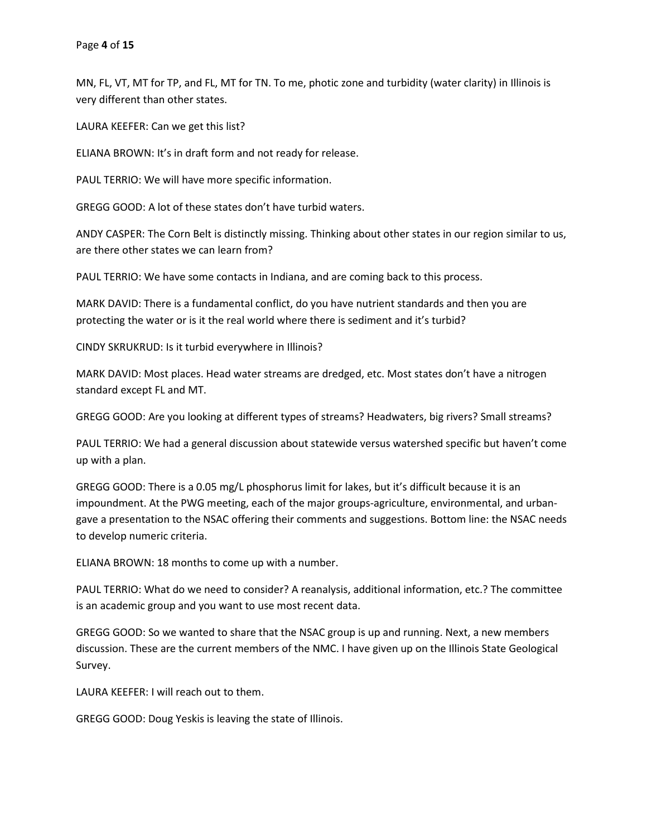MN, FL, VT, MT for TP, and FL, MT for TN. To me, photic zone and turbidity (water clarity) in Illinois is very different than other states.

LAURA KEEFER: Can we get this list?

ELIANA BROWN: It's in draft form and not ready for release.

PAUL TERRIO: We will have more specific information.

GREGG GOOD: A lot of these states don't have turbid waters.

ANDY CASPER: The Corn Belt is distinctly missing. Thinking about other states in our region similar to us, are there other states we can learn from?

PAUL TERRIO: We have some contacts in Indiana, and are coming back to this process.

MARK DAVID: There is a fundamental conflict, do you have nutrient standards and then you are protecting the water or is it the real world where there is sediment and it's turbid?

CINDY SKRUKRUD: Is it turbid everywhere in Illinois?

MARK DAVID: Most places. Head water streams are dredged, etc. Most states don't have a nitrogen standard except FL and MT.

GREGG GOOD: Are you looking at different types of streams? Headwaters, big rivers? Small streams?

PAUL TERRIO: We had a general discussion about statewide versus watershed specific but haven't come up with a plan.

GREGG GOOD: There is a 0.05 mg/L phosphorus limit for lakes, but it's difficult because it is an impoundment. At the PWG meeting, each of the major groups-agriculture, environmental, and urbangave a presentation to the NSAC offering their comments and suggestions. Bottom line: the NSAC needs to develop numeric criteria.

ELIANA BROWN: 18 months to come up with a number.

PAUL TERRIO: What do we need to consider? A reanalysis, additional information, etc.? The committee is an academic group and you want to use most recent data.

GREGG GOOD: So we wanted to share that the NSAC group is up and running. Next, a new members discussion. These are the current members of the NMC. I have given up on the Illinois State Geological Survey.

LAURA KEEFER: I will reach out to them.

GREGG GOOD: Doug Yeskis is leaving the state of Illinois.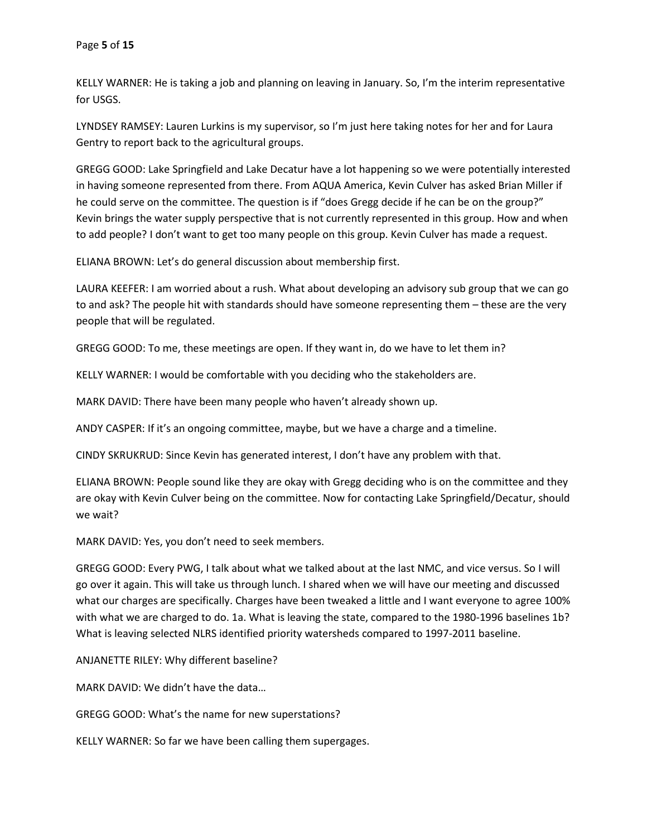KELLY WARNER: He is taking a job and planning on leaving in January. So, I'm the interim representative for USGS.

LYNDSEY RAMSEY: Lauren Lurkins is my supervisor, so I'm just here taking notes for her and for Laura Gentry to report back to the agricultural groups.

GREGG GOOD: Lake Springfield and Lake Decatur have a lot happening so we were potentially interested in having someone represented from there. From AQUA America, Kevin Culver has asked Brian Miller if he could serve on the committee. The question is if "does Gregg decide if he can be on the group?" Kevin brings the water supply perspective that is not currently represented in this group. How and when to add people? I don't want to get too many people on this group. Kevin Culver has made a request.

ELIANA BROWN: Let's do general discussion about membership first.

LAURA KEEFER: I am worried about a rush. What about developing an advisory sub group that we can go to and ask? The people hit with standards should have someone representing them – these are the very people that will be regulated.

GREGG GOOD: To me, these meetings are open. If they want in, do we have to let them in?

KELLY WARNER: I would be comfortable with you deciding who the stakeholders are.

MARK DAVID: There have been many people who haven't already shown up.

ANDY CASPER: If it's an ongoing committee, maybe, but we have a charge and a timeline.

CINDY SKRUKRUD: Since Kevin has generated interest, I don't have any problem with that.

ELIANA BROWN: People sound like they are okay with Gregg deciding who is on the committee and they are okay with Kevin Culver being on the committee. Now for contacting Lake Springfield/Decatur, should we wait?

MARK DAVID: Yes, you don't need to seek members.

GREGG GOOD: Every PWG, I talk about what we talked about at the last NMC, and vice versus. So I will go over it again. This will take us through lunch. I shared when we will have our meeting and discussed what our charges are specifically. Charges have been tweaked a little and I want everyone to agree 100% with what we are charged to do. 1a. What is leaving the state, compared to the 1980-1996 baselines 1b? What is leaving selected NLRS identified priority watersheds compared to 1997-2011 baseline.

ANJANETTE RILEY: Why different baseline?

MARK DAVID: We didn't have the data…

GREGG GOOD: What's the name for new superstations?

KELLY WARNER: So far we have been calling them supergages.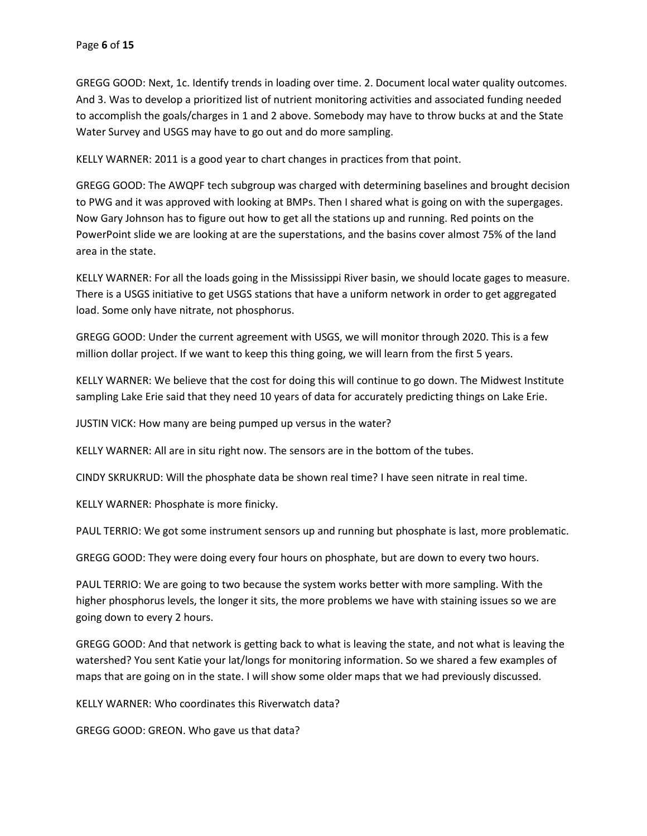GREGG GOOD: Next, 1c. Identify trends in loading over time. 2. Document local water quality outcomes. And 3. Was to develop a prioritized list of nutrient monitoring activities and associated funding needed to accomplish the goals/charges in 1 and 2 above. Somebody may have to throw bucks at and the State Water Survey and USGS may have to go out and do more sampling.

KELLY WARNER: 2011 is a good year to chart changes in practices from that point.

GREGG GOOD: The AWQPF tech subgroup was charged with determining baselines and brought decision to PWG and it was approved with looking at BMPs. Then I shared what is going on with the supergages. Now Gary Johnson has to figure out how to get all the stations up and running. Red points on the PowerPoint slide we are looking at are the superstations, and the basins cover almost 75% of the land area in the state.

KELLY WARNER: For all the loads going in the Mississippi River basin, we should locate gages to measure. There is a USGS initiative to get USGS stations that have a uniform network in order to get aggregated load. Some only have nitrate, not phosphorus.

GREGG GOOD: Under the current agreement with USGS, we will monitor through 2020. This is a few million dollar project. If we want to keep this thing going, we will learn from the first 5 years.

KELLY WARNER: We believe that the cost for doing this will continue to go down. The Midwest Institute sampling Lake Erie said that they need 10 years of data for accurately predicting things on Lake Erie.

JUSTIN VICK: How many are being pumped up versus in the water?

KELLY WARNER: All are in situ right now. The sensors are in the bottom of the tubes.

CINDY SKRUKRUD: Will the phosphate data be shown real time? I have seen nitrate in real time.

KELLY WARNER: Phosphate is more finicky.

PAUL TERRIO: We got some instrument sensors up and running but phosphate is last, more problematic.

GREGG GOOD: They were doing every four hours on phosphate, but are down to every two hours.

PAUL TERRIO: We are going to two because the system works better with more sampling. With the higher phosphorus levels, the longer it sits, the more problems we have with staining issues so we are going down to every 2 hours.

GREGG GOOD: And that network is getting back to what is leaving the state, and not what is leaving the watershed? You sent Katie your lat/longs for monitoring information. So we shared a few examples of maps that are going on in the state. I will show some older maps that we had previously discussed.

KELLY WARNER: Who coordinates this Riverwatch data?

GREGG GOOD: GREON. Who gave us that data?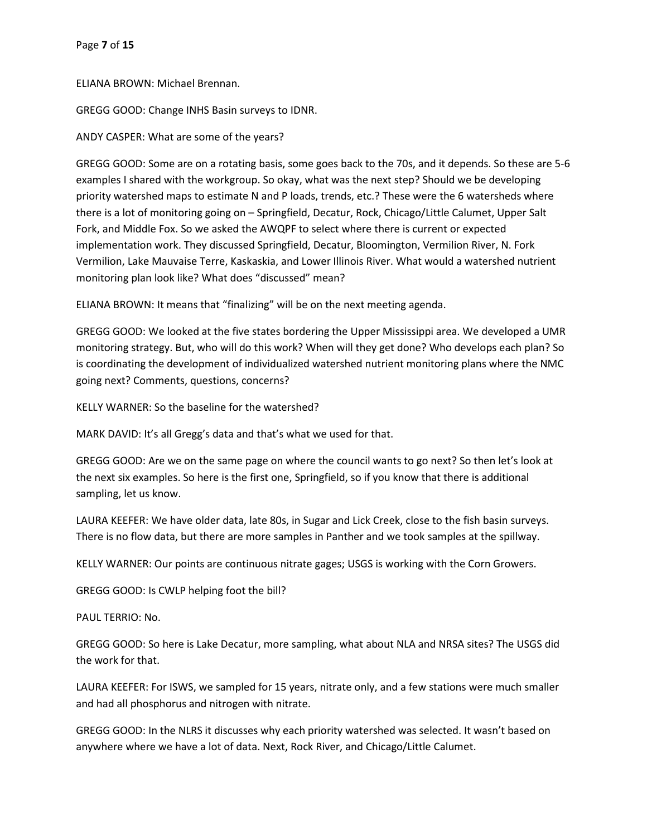ELIANA BROWN: Michael Brennan.

GREGG GOOD: Change INHS Basin surveys to IDNR.

ANDY CASPER: What are some of the years?

GREGG GOOD: Some are on a rotating basis, some goes back to the 70s, and it depends. So these are 5-6 examples I shared with the workgroup. So okay, what was the next step? Should we be developing priority watershed maps to estimate N and P loads, trends, etc.? These were the 6 watersheds where there is a lot of monitoring going on – Springfield, Decatur, Rock, Chicago/Little Calumet, Upper Salt Fork, and Middle Fox. So we asked the AWQPF to select where there is current or expected implementation work. They discussed Springfield, Decatur, Bloomington, Vermilion River, N. Fork Vermilion, Lake Mauvaise Terre, Kaskaskia, and Lower Illinois River. What would a watershed nutrient monitoring plan look like? What does "discussed" mean?

ELIANA BROWN: It means that "finalizing" will be on the next meeting agenda.

GREGG GOOD: We looked at the five states bordering the Upper Mississippi area. We developed a UMR monitoring strategy. But, who will do this work? When will they get done? Who develops each plan? So is coordinating the development of individualized watershed nutrient monitoring plans where the NMC going next? Comments, questions, concerns?

KELLY WARNER: So the baseline for the watershed?

MARK DAVID: It's all Gregg's data and that's what we used for that.

GREGG GOOD: Are we on the same page on where the council wants to go next? So then let's look at the next six examples. So here is the first one, Springfield, so if you know that there is additional sampling, let us know.

LAURA KEEFER: We have older data, late 80s, in Sugar and Lick Creek, close to the fish basin surveys. There is no flow data, but there are more samples in Panther and we took samples at the spillway.

KELLY WARNER: Our points are continuous nitrate gages; USGS is working with the Corn Growers.

GREGG GOOD: Is CWLP helping foot the bill?

PAUL TERRIO: No.

GREGG GOOD: So here is Lake Decatur, more sampling, what about NLA and NRSA sites? The USGS did the work for that.

LAURA KEEFER: For ISWS, we sampled for 15 years, nitrate only, and a few stations were much smaller and had all phosphorus and nitrogen with nitrate.

GREGG GOOD: In the NLRS it discusses why each priority watershed was selected. It wasn't based on anywhere where we have a lot of data. Next, Rock River, and Chicago/Little Calumet.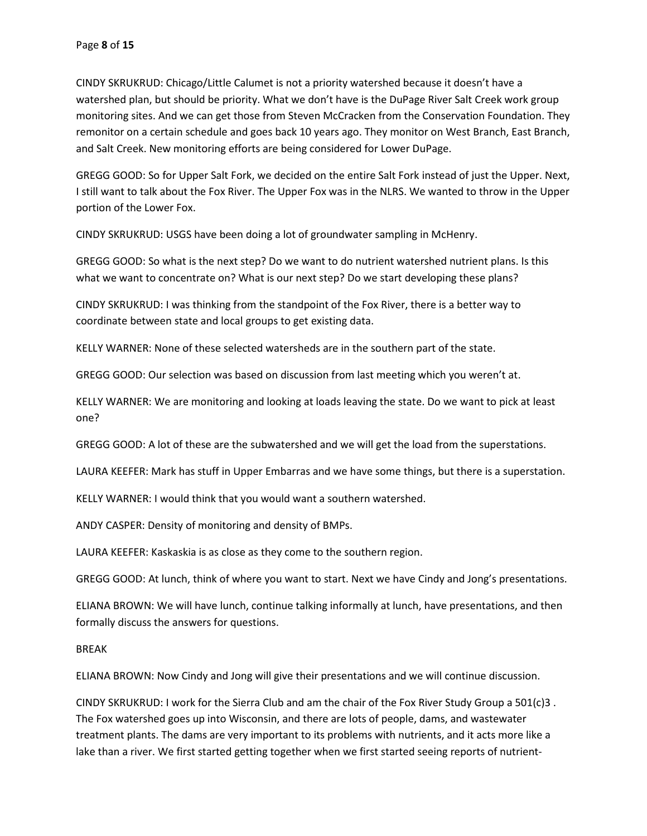CINDY SKRUKRUD: Chicago/Little Calumet is not a priority watershed because it doesn't have a watershed plan, but should be priority. What we don't have is the DuPage River Salt Creek work group monitoring sites. And we can get those from Steven McCracken from the Conservation Foundation. They remonitor on a certain schedule and goes back 10 years ago. They monitor on West Branch, East Branch, and Salt Creek. New monitoring efforts are being considered for Lower DuPage.

GREGG GOOD: So for Upper Salt Fork, we decided on the entire Salt Fork instead of just the Upper. Next, I still want to talk about the Fox River. The Upper Fox was in the NLRS. We wanted to throw in the Upper portion of the Lower Fox.

CINDY SKRUKRUD: USGS have been doing a lot of groundwater sampling in McHenry.

GREGG GOOD: So what is the next step? Do we want to do nutrient watershed nutrient plans. Is this what we want to concentrate on? What is our next step? Do we start developing these plans?

CINDY SKRUKRUD: I was thinking from the standpoint of the Fox River, there is a better way to coordinate between state and local groups to get existing data.

KELLY WARNER: None of these selected watersheds are in the southern part of the state.

GREGG GOOD: Our selection was based on discussion from last meeting which you weren't at.

KELLY WARNER: We are monitoring and looking at loads leaving the state. Do we want to pick at least one?

GREGG GOOD: A lot of these are the subwatershed and we will get the load from the superstations.

LAURA KEEFER: Mark has stuff in Upper Embarras and we have some things, but there is a superstation.

KELLY WARNER: I would think that you would want a southern watershed.

ANDY CASPER: Density of monitoring and density of BMPs.

LAURA KEEFER: Kaskaskia is as close as they come to the southern region.

GREGG GOOD: At lunch, think of where you want to start. Next we have Cindy and Jong's presentations.

ELIANA BROWN: We will have lunch, continue talking informally at lunch, have presentations, and then formally discuss the answers for questions.

BREAK

ELIANA BROWN: Now Cindy and Jong will give their presentations and we will continue discussion.

CINDY SKRUKRUD: I work for the Sierra Club and am the chair of the Fox River Study Group a 501(c)3 . The Fox watershed goes up into Wisconsin, and there are lots of people, dams, and wastewater treatment plants. The dams are very important to its problems with nutrients, and it acts more like a lake than a river. We first started getting together when we first started seeing reports of nutrient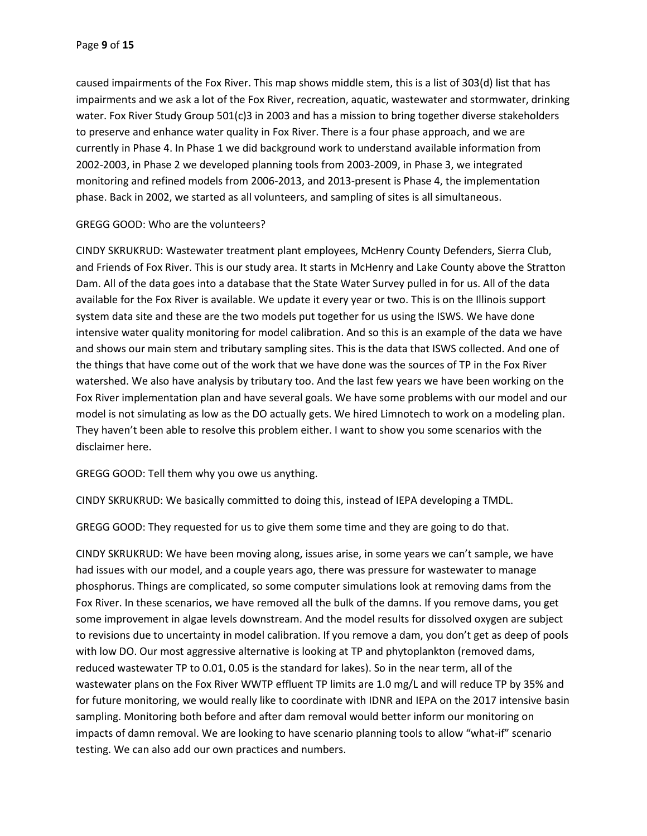caused impairments of the Fox River. This map shows middle stem, this is a list of 303(d) list that has impairments and we ask a lot of the Fox River, recreation, aquatic, wastewater and stormwater, drinking water. Fox River Study Group 501(c)3 in 2003 and has a mission to bring together diverse stakeholders to preserve and enhance water quality in Fox River. There is a four phase approach, and we are currently in Phase 4. In Phase 1 we did background work to understand available information from 2002-2003, in Phase 2 we developed planning tools from 2003-2009, in Phase 3, we integrated monitoring and refined models from 2006-2013, and 2013-present is Phase 4, the implementation phase. Back in 2002, we started as all volunteers, and sampling of sites is all simultaneous.

GREGG GOOD: Who are the volunteers?

CINDY SKRUKRUD: Wastewater treatment plant employees, McHenry County Defenders, Sierra Club, and Friends of Fox River. This is our study area. It starts in McHenry and Lake County above the Stratton Dam. All of the data goes into a database that the State Water Survey pulled in for us. All of the data available for the Fox River is available. We update it every year or two. This is on the Illinois support system data site and these are the two models put together for us using the ISWS. We have done intensive water quality monitoring for model calibration. And so this is an example of the data we have and shows our main stem and tributary sampling sites. This is the data that ISWS collected. And one of the things that have come out of the work that we have done was the sources of TP in the Fox River watershed. We also have analysis by tributary too. And the last few years we have been working on the Fox River implementation plan and have several goals. We have some problems with our model and our model is not simulating as low as the DO actually gets. We hired Limnotech to work on a modeling plan. They haven't been able to resolve this problem either. I want to show you some scenarios with the disclaimer here.

GREGG GOOD: Tell them why you owe us anything.

CINDY SKRUKRUD: We basically committed to doing this, instead of IEPA developing a TMDL.

GREGG GOOD: They requested for us to give them some time and they are going to do that.

CINDY SKRUKRUD: We have been moving along, issues arise, in some years we can't sample, we have had issues with our model, and a couple years ago, there was pressure for wastewater to manage phosphorus. Things are complicated, so some computer simulations look at removing dams from the Fox River. In these scenarios, we have removed all the bulk of the damns. If you remove dams, you get some improvement in algae levels downstream. And the model results for dissolved oxygen are subject to revisions due to uncertainty in model calibration. If you remove a dam, you don't get as deep of pools with low DO. Our most aggressive alternative is looking at TP and phytoplankton (removed dams, reduced wastewater TP to 0.01, 0.05 is the standard for lakes). So in the near term, all of the wastewater plans on the Fox River WWTP effluent TP limits are 1.0 mg/L and will reduce TP by 35% and for future monitoring, we would really like to coordinate with IDNR and IEPA on the 2017 intensive basin sampling. Monitoring both before and after dam removal would better inform our monitoring on impacts of damn removal. We are looking to have scenario planning tools to allow "what-if" scenario testing. We can also add our own practices and numbers.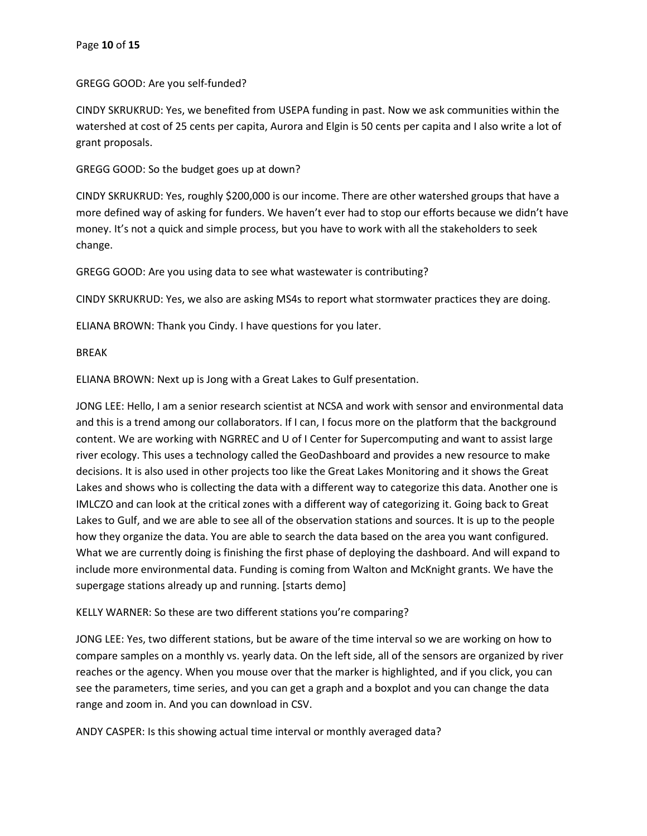GREGG GOOD: Are you self-funded?

CINDY SKRUKRUD: Yes, we benefited from USEPA funding in past. Now we ask communities within the watershed at cost of 25 cents per capita, Aurora and Elgin is 50 cents per capita and I also write a lot of grant proposals.

GREGG GOOD: So the budget goes up at down?

CINDY SKRUKRUD: Yes, roughly \$200,000 is our income. There are other watershed groups that have a more defined way of asking for funders. We haven't ever had to stop our efforts because we didn't have money. It's not a quick and simple process, but you have to work with all the stakeholders to seek change.

GREGG GOOD: Are you using data to see what wastewater is contributing?

CINDY SKRUKRUD: Yes, we also are asking MS4s to report what stormwater practices they are doing.

ELIANA BROWN: Thank you Cindy. I have questions for you later.

BREAK

ELIANA BROWN: Next up is Jong with a Great Lakes to Gulf presentation.

JONG LEE: Hello, I am a senior research scientist at NCSA and work with sensor and environmental data and this is a trend among our collaborators. If I can, I focus more on the platform that the background content. We are working with NGRREC and U of I Center for Supercomputing and want to assist large river ecology. This uses a technology called the GeoDashboard and provides a new resource to make decisions. It is also used in other projects too like the Great Lakes Monitoring and it shows the Great Lakes and shows who is collecting the data with a different way to categorize this data. Another one is IMLCZO and can look at the critical zones with a different way of categorizing it. Going back to Great Lakes to Gulf, and we are able to see all of the observation stations and sources. It is up to the people how they organize the data. You are able to search the data based on the area you want configured. What we are currently doing is finishing the first phase of deploying the dashboard. And will expand to include more environmental data. Funding is coming from Walton and McKnight grants. We have the supergage stations already up and running. [starts demo]

KELLY WARNER: So these are two different stations you're comparing?

JONG LEE: Yes, two different stations, but be aware of the time interval so we are working on how to compare samples on a monthly vs. yearly data. On the left side, all of the sensors are organized by river reaches or the agency. When you mouse over that the marker is highlighted, and if you click, you can see the parameters, time series, and you can get a graph and a boxplot and you can change the data range and zoom in. And you can download in CSV.

ANDY CASPER: Is this showing actual time interval or monthly averaged data?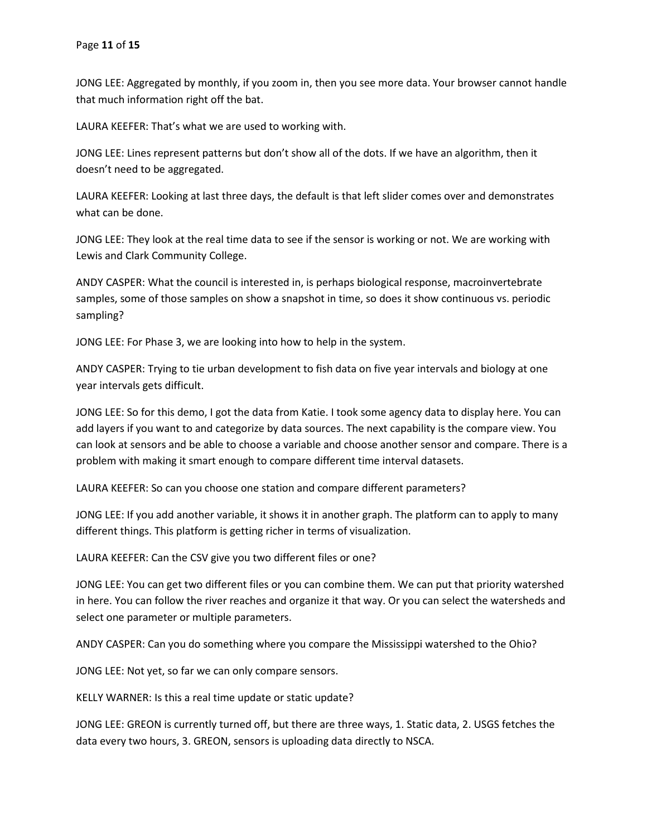JONG LEE: Aggregated by monthly, if you zoom in, then you see more data. Your browser cannot handle that much information right off the bat.

LAURA KEEFER: That's what we are used to working with.

JONG LEE: Lines represent patterns but don't show all of the dots. If we have an algorithm, then it doesn't need to be aggregated.

LAURA KEEFER: Looking at last three days, the default is that left slider comes over and demonstrates what can be done.

JONG LEE: They look at the real time data to see if the sensor is working or not. We are working with Lewis and Clark Community College.

ANDY CASPER: What the council is interested in, is perhaps biological response, macroinvertebrate samples, some of those samples on show a snapshot in time, so does it show continuous vs. periodic sampling?

JONG LEE: For Phase 3, we are looking into how to help in the system.

ANDY CASPER: Trying to tie urban development to fish data on five year intervals and biology at one year intervals gets difficult.

JONG LEE: So for this demo, I got the data from Katie. I took some agency data to display here. You can add layers if you want to and categorize by data sources. The next capability is the compare view. You can look at sensors and be able to choose a variable and choose another sensor and compare. There is a problem with making it smart enough to compare different time interval datasets.

LAURA KEEFER: So can you choose one station and compare different parameters?

JONG LEE: If you add another variable, it shows it in another graph. The platform can to apply to many different things. This platform is getting richer in terms of visualization.

LAURA KEEFER: Can the CSV give you two different files or one?

JONG LEE: You can get two different files or you can combine them. We can put that priority watershed in here. You can follow the river reaches and organize it that way. Or you can select the watersheds and select one parameter or multiple parameters.

ANDY CASPER: Can you do something where you compare the Mississippi watershed to the Ohio?

JONG LEE: Not yet, so far we can only compare sensors.

KELLY WARNER: Is this a real time update or static update?

JONG LEE: GREON is currently turned off, but there are three ways, 1. Static data, 2. USGS fetches the data every two hours, 3. GREON, sensors is uploading data directly to NSCA.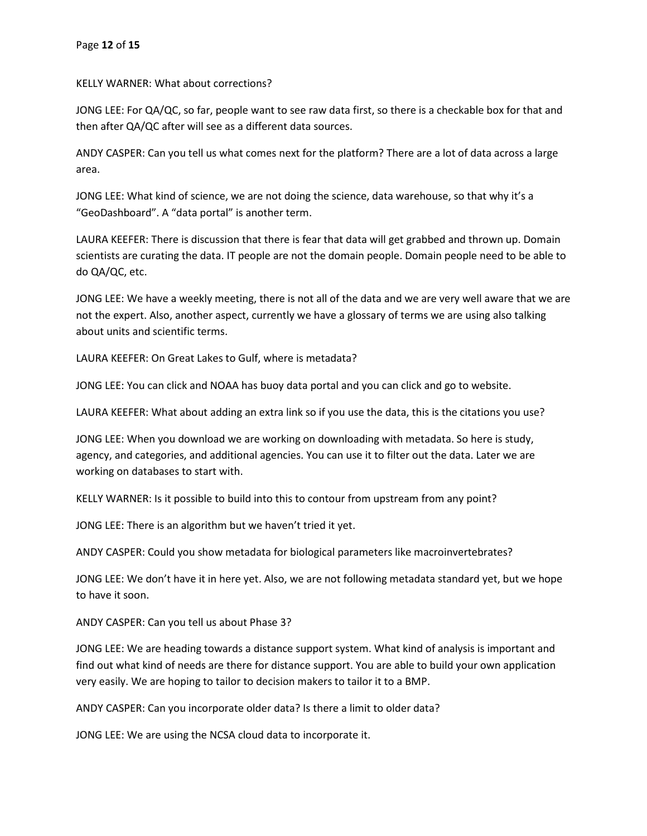KELLY WARNER: What about corrections?

JONG LEE: For QA/QC, so far, people want to see raw data first, so there is a checkable box for that and then after QA/QC after will see as a different data sources.

ANDY CASPER: Can you tell us what comes next for the platform? There are a lot of data across a large area.

JONG LEE: What kind of science, we are not doing the science, data warehouse, so that why it's a "GeoDashboard". A "data portal" is another term.

LAURA KEEFER: There is discussion that there is fear that data will get grabbed and thrown up. Domain scientists are curating the data. IT people are not the domain people. Domain people need to be able to do QA/QC, etc.

JONG LEE: We have a weekly meeting, there is not all of the data and we are very well aware that we are not the expert. Also, another aspect, currently we have a glossary of terms we are using also talking about units and scientific terms.

LAURA KEEFER: On Great Lakes to Gulf, where is metadata?

JONG LEE: You can click and NOAA has buoy data portal and you can click and go to website.

LAURA KEEFER: What about adding an extra link so if you use the data, this is the citations you use?

JONG LEE: When you download we are working on downloading with metadata. So here is study, agency, and categories, and additional agencies. You can use it to filter out the data. Later we are working on databases to start with.

KELLY WARNER: Is it possible to build into this to contour from upstream from any point?

JONG LEE: There is an algorithm but we haven't tried it yet.

ANDY CASPER: Could you show metadata for biological parameters like macroinvertebrates?

JONG LEE: We don't have it in here yet. Also, we are not following metadata standard yet, but we hope to have it soon.

ANDY CASPER: Can you tell us about Phase 3?

JONG LEE: We are heading towards a distance support system. What kind of analysis is important and find out what kind of needs are there for distance support. You are able to build your own application very easily. We are hoping to tailor to decision makers to tailor it to a BMP.

ANDY CASPER: Can you incorporate older data? Is there a limit to older data?

JONG LEE: We are using the NCSA cloud data to incorporate it.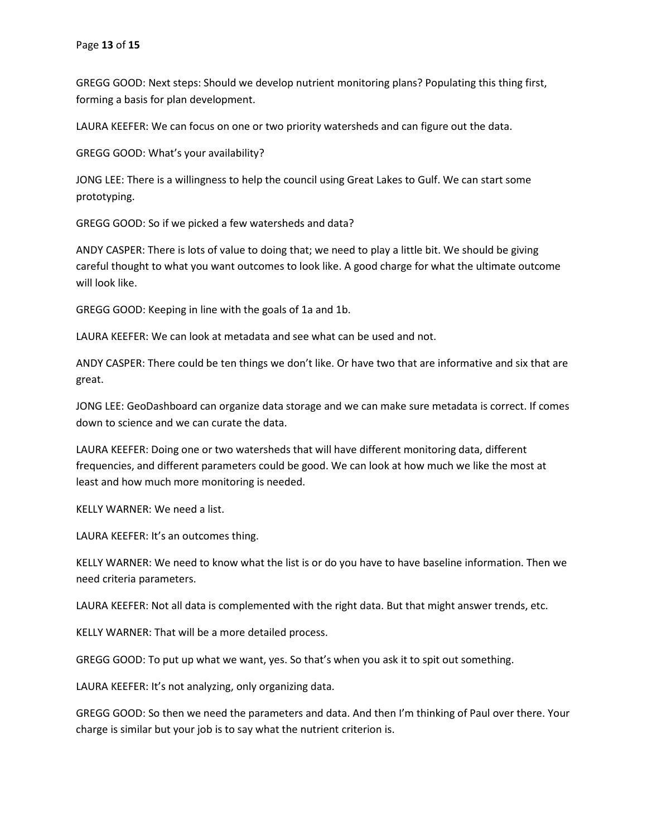GREGG GOOD: Next steps: Should we develop nutrient monitoring plans? Populating this thing first, forming a basis for plan development.

LAURA KEEFER: We can focus on one or two priority watersheds and can figure out the data.

GREGG GOOD: What's your availability?

JONG LEE: There is a willingness to help the council using Great Lakes to Gulf. We can start some prototyping.

GREGG GOOD: So if we picked a few watersheds and data?

ANDY CASPER: There is lots of value to doing that; we need to play a little bit. We should be giving careful thought to what you want outcomes to look like. A good charge for what the ultimate outcome will look like.

GREGG GOOD: Keeping in line with the goals of 1a and 1b.

LAURA KEEFER: We can look at metadata and see what can be used and not.

ANDY CASPER: There could be ten things we don't like. Or have two that are informative and six that are great.

JONG LEE: GeoDashboard can organize data storage and we can make sure metadata is correct. If comes down to science and we can curate the data.

LAURA KEEFER: Doing one or two watersheds that will have different monitoring data, different frequencies, and different parameters could be good. We can look at how much we like the most at least and how much more monitoring is needed.

KELLY WARNER: We need a list.

LAURA KEEFER: It's an outcomes thing.

KELLY WARNER: We need to know what the list is or do you have to have baseline information. Then we need criteria parameters.

LAURA KEEFER: Not all data is complemented with the right data. But that might answer trends, etc.

KELLY WARNER: That will be a more detailed process.

GREGG GOOD: To put up what we want, yes. So that's when you ask it to spit out something.

LAURA KEEFER: It's not analyzing, only organizing data.

GREGG GOOD: So then we need the parameters and data. And then I'm thinking of Paul over there. Your charge is similar but your job is to say what the nutrient criterion is.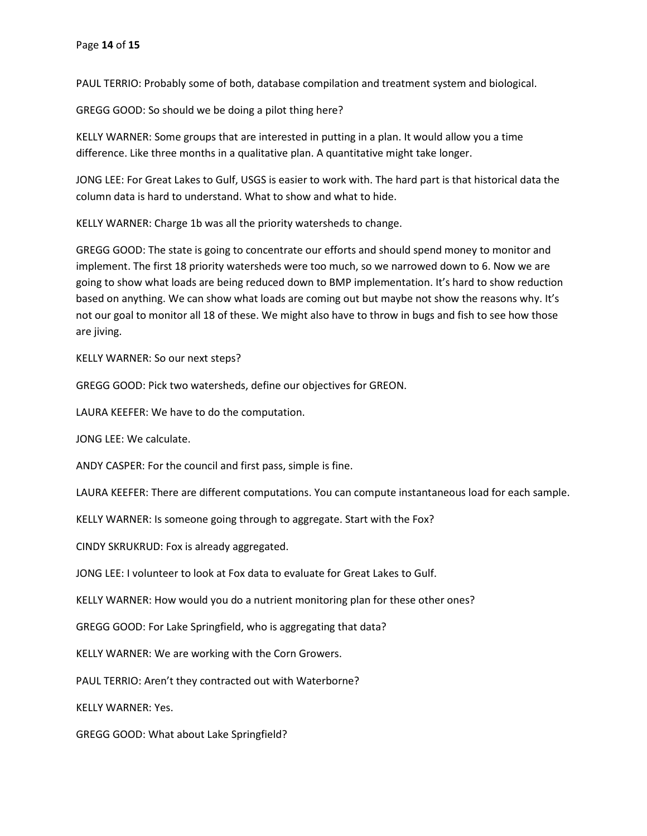PAUL TERRIO: Probably some of both, database compilation and treatment system and biological.

GREGG GOOD: So should we be doing a pilot thing here?

KELLY WARNER: Some groups that are interested in putting in a plan. It would allow you a time difference. Like three months in a qualitative plan. A quantitative might take longer.

JONG LEE: For Great Lakes to Gulf, USGS is easier to work with. The hard part is that historical data the column data is hard to understand. What to show and what to hide.

KELLY WARNER: Charge 1b was all the priority watersheds to change.

GREGG GOOD: The state is going to concentrate our efforts and should spend money to monitor and implement. The first 18 priority watersheds were too much, so we narrowed down to 6. Now we are going to show what loads are being reduced down to BMP implementation. It's hard to show reduction based on anything. We can show what loads are coming out but maybe not show the reasons why. It's not our goal to monitor all 18 of these. We might also have to throw in bugs and fish to see how those are jiving.

KELLY WARNER: So our next steps?

GREGG GOOD: Pick two watersheds, define our objectives for GREON.

LAURA KEEFER: We have to do the computation.

JONG LEE: We calculate.

ANDY CASPER: For the council and first pass, simple is fine.

LAURA KEEFER: There are different computations. You can compute instantaneous load for each sample.

KELLY WARNER: Is someone going through to aggregate. Start with the Fox?

CINDY SKRUKRUD: Fox is already aggregated.

JONG LEE: I volunteer to look at Fox data to evaluate for Great Lakes to Gulf.

KELLY WARNER: How would you do a nutrient monitoring plan for these other ones?

GREGG GOOD: For Lake Springfield, who is aggregating that data?

KELLY WARNER: We are working with the Corn Growers.

PAUL TERRIO: Aren't they contracted out with Waterborne?

KELLY WARNER: Yes.

GREGG GOOD: What about Lake Springfield?